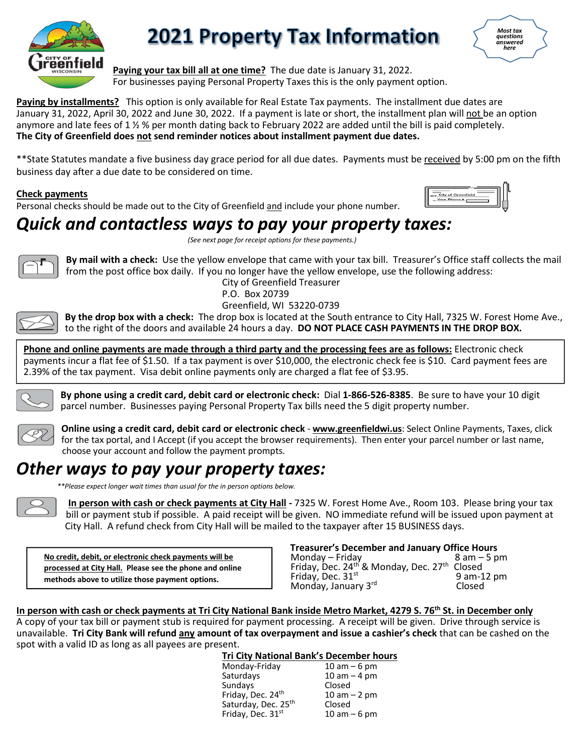

## **2021 Property Tax Information**



**Paying your tax bill all at one time?** The due date is January 31, 2022. For businesses paying Personal Property Taxes this is the only payment option.

**Paying by installments?** This option is only available for Real Estate Tax payments. The installment due dates are January 31, 2022, April 30, 2022 and June 30, 2022. If a payment is late or short, the installment plan will not be an option anymore and late fees of 1 ½ % per month dating back to February 2022 are added until the bill is paid completely. **The City of Greenfield does not send reminder notices about installment payment due dates.**

\*\*State Statutes mandate a five business day grace period for all due dates. Payments must be received by 5:00 pm on the fifth business day after a due date to be considered on time.

**Check payments** 

Personal checks should be made out to the City of Greenfield and include your phone number.



## *Quick and contactless ways to pay your property taxes:*

*(See next page for receipt options for these payments.)*



**By mail with a check:** Use the yellow envelope that came with your tax bill. Treasurer's Office staff collects the mail from the post office box daily. If you no longer have the yellow envelope, use the following address:

City of Greenfield Treasurer P.O. Box 20739 Greenfield, WI 53220-0739



**By the drop box with a check:** The drop box is located at the South entrance to City Hall, 7325 W. Forest Home Ave., to the right of the doors and available 24 hours a day. **DO NOT PLACE CASH PAYMENTS IN THE DROP BOX.** 

**Phone and online payments are made through a third party and the processing fees are as follows:** Electronic check payments incur a flat fee of \$1.50. If a tax payment is over \$10,000, the electronic check fee is \$10. Card payment fees are 2.39% of the tax payment. Visa debit online payments only are charged a flat fee of \$3.95.



**By phone using a credit card, debit card or electronic check:** Dial **1-866-526-8385**. Be sure to have your 10 digit parcel number. Businesses paying Personal Property Tax bills need the 5 digit property number.



**Online using a credit card, debit card or electronic check** - **www.greenfieldwi.us**: Select Online Payments, Taxes, click for the tax portal, and I Accept (if you accept the browser requirements). Then enter your parcel number or last name, choose your account and follow the payment prompts.

## *Other ways to pay your property taxes:*



 *\*\*Please expect longer wait times than usual for the in person options below.*

 **In person with cash or check payments at City Hall -** 7325 W. Forest Home Ave., Room 103. Please bring your tax bill or payment stub if possible. A paid receipt will be given. NO immediate refund will be issued upon payment at City Hall. A refund check from City Hall will be mailed to the taxpayer after 15 BUSINESS days.

**No credit, debit, or electronic check payments will be processed at City Hall. Please see the phone and online methods above to utilize those payment options.**

**Treasurer's December and January Office Hours**<br>Monday – Friday and **1988** am – 5 pm Monday –  $Fridav$ Friday, Dec.  $24^{th}$  & Monday, Dec.  $27^{th}$  Closed<br>Friday, Dec.  $31^{st}$  9 am-12 pm<br>Monday, January 3<sup>rd</sup> Closed

**In person with cash or check payments at Tri City National Bank inside Metro Market, 4279 S. 76th St. in December only** A copy of your tax bill or payment stub is required for payment processing. A receipt will be given. Drive through service is unavailable. **Tri City Bank will refund any amount of tax overpayment and issue a cashier's check** that can be cashed on the spot with a valid ID as long as all payees are present.

**Tri City National Bank's December hours**

| Monday-Friday                 | $10 am - 6 pm$   |
|-------------------------------|------------------|
| Saturdays                     | $10$ am $-$ 4 pm |
| Sundays                       | Closed           |
| Friday, Dec. 24 <sup>th</sup> | $10 am - 2 pm$   |
| Saturday, Dec. 25th           | Closed           |
| Friday, Dec. 31st             | $10 am - 6 pm$   |